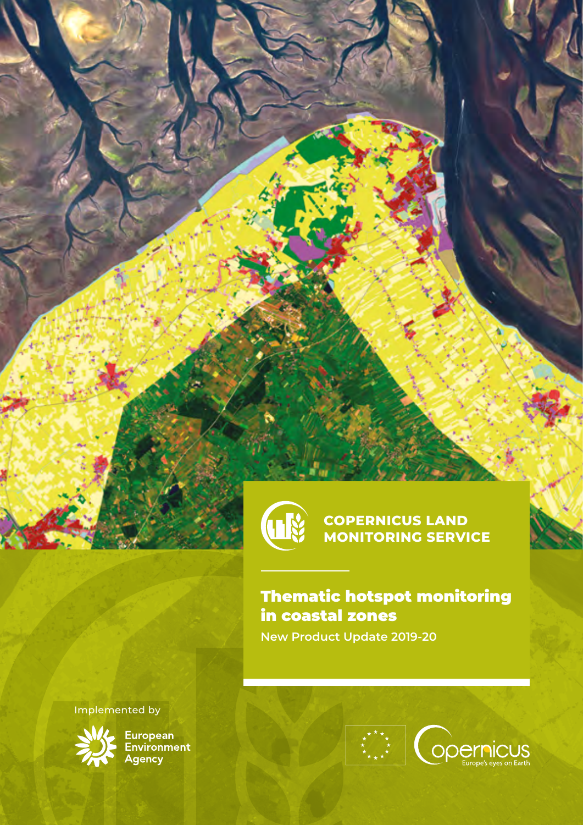

**COPERNICUS LAND MONITORING SERVICE**

Thematic hotspot monitoring in coastal zones **New Product Update 2019-20**

Implemented by



**MAN**<br>Environment<br>Agency